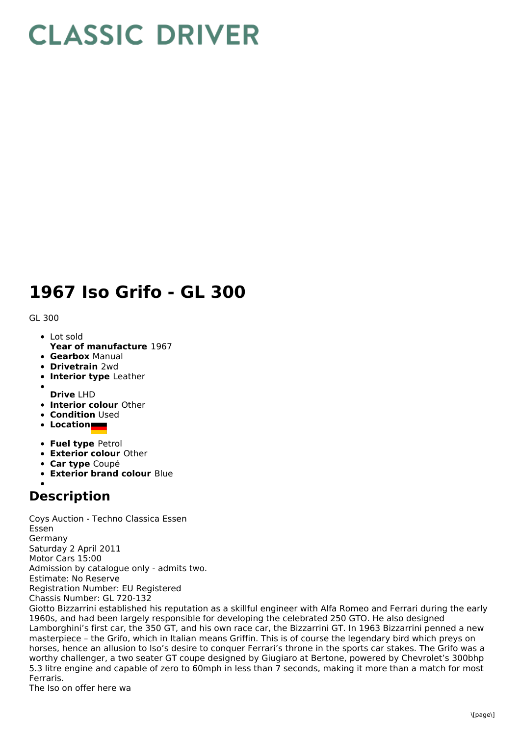## **CLASSIC DRIVER**

## **1967 Iso Grifo - GL 300**

GL 300

- Lot sold
- **Year of manufacture** 1967
- **Gearbox** Manual
- **Drivetrain** 2wd
- **Interior type** Leather
- **Drive** LHD
- **Interior colour** Other
- **Condition** Used
- **Location**
- **Fuel type** Petrol
- **Exterior colour** Other
- **Car type** Coupé
- **Exterior brand colour** Blue

## **Description**

Coys Auction - Techno Classica Essen Essen Germany Saturday 2 April 2011 Motor Cars 15:00 Admission by catalogue only - admits two. Estimate: No Reserve Registration Number: EU Registered Chassis Number: GL 720-132

Giotto Bizzarrini established his reputation as a skillful engineer with Alfa Romeo and Ferrari during the early 1960s, and had been largely responsible for developing the celebrated 250 GTO. He also designed Lamborghini's first car, the 350 GT, and his own race car, the Bizzarrini GT. In 1963 Bizzarrini penned a new masterpiece – the Grifo, which in Italian means Griffin. This is of course the legendary bird which preys on horses, hence an allusion to Iso's desire to conquer Ferrari's throne in the sports car stakes. The Grifo was a worthy challenger, a two seater GT coupe designed by Giugiaro at Bertone, powered by Chevrolet's 300bhp 5.3 litre engine and capable of zero to 60mph in less than 7 seconds, making it more than a match for most Ferraris.

The Iso on offer here wa